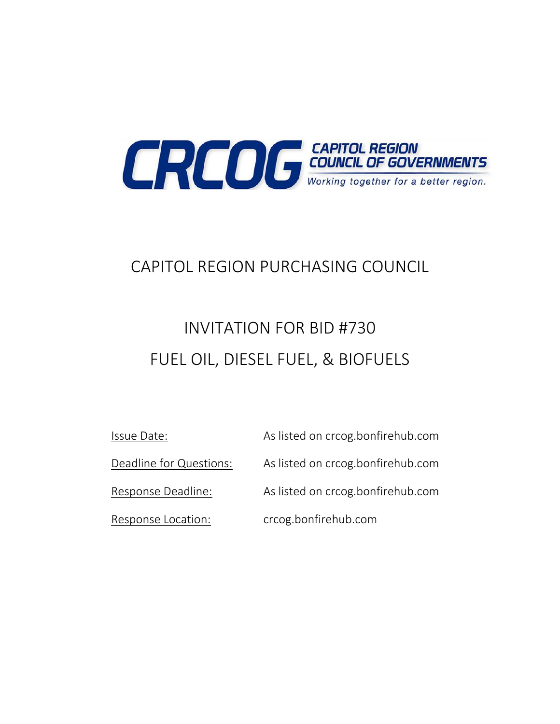

## CAPITOL REGION PURCHASING COUNCIL

# INVITATION FOR BID #730 FUEL OIL, DIESEL FUEL, & BIOFUELS

| Issue Date:             | As listed on crcog.bonfirehub.com |
|-------------------------|-----------------------------------|
| Deadline for Questions: | As listed on crcog.bonfirehub.com |
| Response Deadline:      | As listed on crcog.bonfirehub.com |
| Response Location:      | crcog.bonfirehub.com              |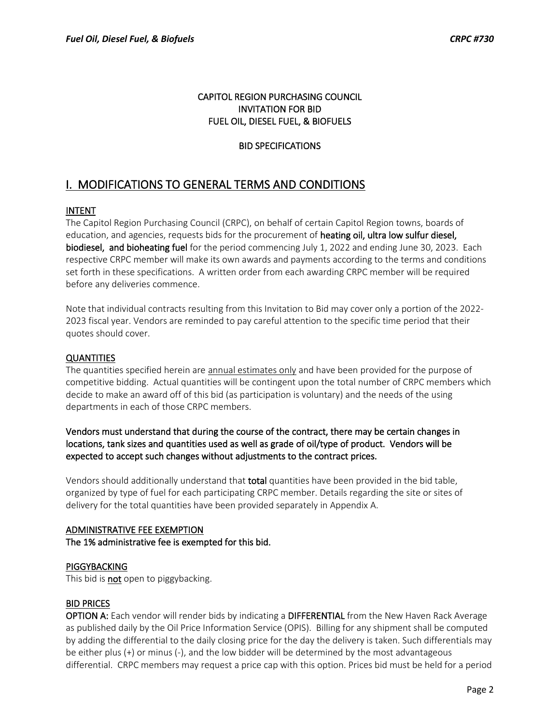#### CAPITOL REGION PURCHASING COUNCIL INVITATION FOR BID FUEL OIL, DIESEL FUEL, & BIOFUELS

## BID SPECIFICATIONS

## I. MODIFICATIONS TO GENERAL TERMS AND CONDITIONS

## INTENT

The Capitol Region Purchasing Council (CRPC), on behalf of certain Capitol Region towns, boards of education, and agencies, requests bids for the procurement of heating oil, ultra low sulfur diesel, biodiesel, and bioheating fuel for the period commencing July 1, 2022 and ending June 30, 2023. Each respective CRPC member will make its own awards and payments according to the terms and conditions set forth in these specifications. A written order from each awarding CRPC member will be required before any deliveries commence.

Note that individual contracts resulting from this Invitation to Bid may cover only a portion of the 2022- 2023 fiscal year. Vendors are reminded to pay careful attention to the specific time period that their quotes should cover.

## **QUANTITIES**

The quantities specified herein are annual estimates only and have been provided for the purpose of competitive bidding. Actual quantities will be contingent upon the total number of CRPC members which decide to make an award off of this bid (as participation is voluntary) and the needs of the using departments in each of those CRPC members.

## Vendors must understand that during the course of the contract, there may be certain changes in locations, tank sizes and quantities used as well as grade of oil/type of product. Vendors will be expected to accept such changes without adjustments to the contract prices.

Vendors should additionally understand that **total** quantities have been provided in the bid table, organized by type of fuel for each participating CRPC member. Details regarding the site or sites of delivery for the total quantities have been provided separately in Appendix A.

## ADMINISTRATIVE FEE EXEMPTION The 1% administrative fee is exempted for this bid.

#### **PIGGYBACKING**

This bid is **not** open to piggybacking.

## BID PRICES

OPTION A: Each vendor will render bids by indicating a DIFFERENTIAL from the New Haven Rack Average as published daily by the Oil Price Information Service (OPIS). Billing for any shipment shall be computed by adding the differential to the daily closing price for the day the delivery is taken. Such differentials may be either plus (+) or minus (-), and the low bidder will be determined by the most advantageous differential. CRPC members may request a price cap with this option. Prices bid must be held for a period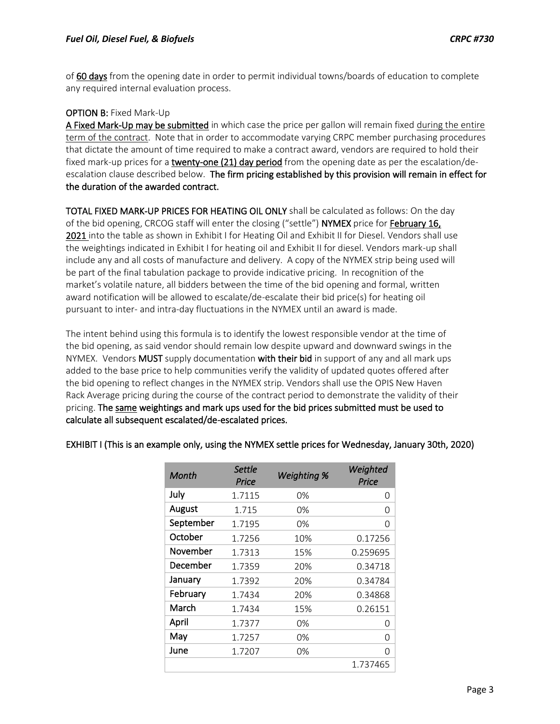of 60 days from the opening date in order to permit individual towns/boards of education to complete any required internal evaluation process.

## OPTION B: Fixed Mark-Up

A Fixed Mark-Up may be submitted in which case the price per gallon will remain fixed during the entire term of the contract. Note that in order to accommodate varying CRPC member purchasing procedures that dictate the amount of time required to make a contract award, vendors are required to hold their fixed mark-up prices for a twenty-one (21) day period from the opening date as per the escalation/deescalation clause described below. The firm pricing established by this provision will remain in effect for the duration of the awarded contract.

TOTAL FIXED MARK-UP PRICES FOR HEATING OIL ONLY shall be calculated as follows: On the day of the bid opening, CRCOG staff will enter the closing ("settle") NYMEX price for February 16, 2021 into the table as shown in Exhibit I for Heating Oil and Exhibit II for Diesel. Vendors shall use the weightings indicated in Exhibit I for heating oil and Exhibit II for diesel. Vendors mark-up shall include any and all costs of manufacture and delivery. A copy of the NYMEX strip being used will be part of the final tabulation package to provide indicative pricing. In recognition of the market's volatile nature, all bidders between the time of the bid opening and formal, written award notification will be allowed to escalate/de-escalate their bid price(s) for heating oil pursuant to inter- and intra-day fluctuations in the NYMEX until an award is made.

The intent behind using this formula is to identify the lowest responsible vendor at the time of the bid opening, as said vendor should remain low despite upward and downward swings in the NYMEX. Vendors MUST supply documentation with their bid in support of any and all mark ups added to the base price to help communities verify the validity of updated quotes offered after the bid opening to reflect changes in the NYMEX strip. Vendors shall use the OPIS New Haven Rack Average pricing during the course of the contract period to demonstrate the validity of their pricing. The same weightings and mark ups used for the bid prices submitted must be used to calculate all subsequent escalated/de-escalated prices.

| Month     | Settle<br>Price | <b>Weighting %</b> | Weighted<br>Price |
|-----------|-----------------|--------------------|-------------------|
| July      | 1.7115          | 0%                 | 0                 |
| August    | 1.715           | 0%                 | 0                 |
| September | 1.7195          | 0%                 | O                 |
| October   | 1.7256          | 10%                | 0.17256           |
| November  | 1.7313          | 15%                | 0.259695          |
| December  | 1.7359          | 20%                | 0.34718           |
| January   | 1.7392          | 20%                | 0.34784           |
| February  | 1.7434          | 20%                | 0.34868           |
| March     | 1.7434          | 15%                | 0.26151           |
| April     | 1.7377          | 0%                 | 0                 |
| May       | 1.7257          | 0%                 | 0                 |
| June      | 1.7207          | 0%                 | $\Omega$          |
|           |                 |                    | 1.737465          |

## EXHIBIT I (This is an example only, using the NYMEX settle prices for Wednesday, January 30th, 2020)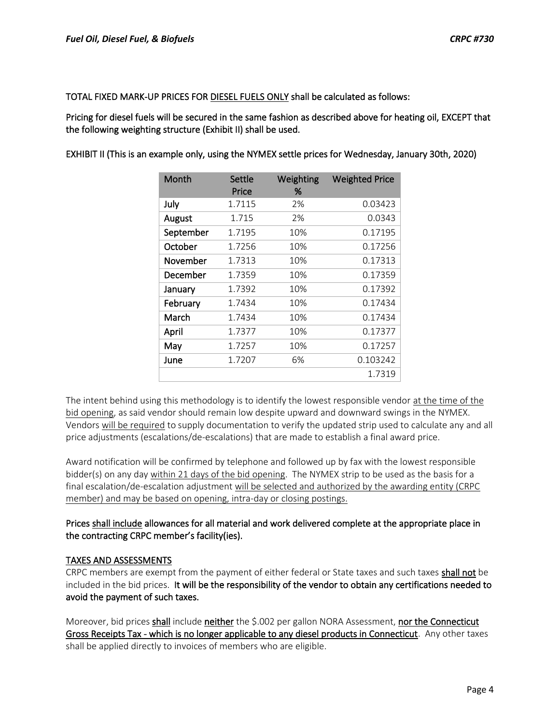TOTAL FIXED MARK-UP PRICES FOR DIESEL FUELS ONLY shall be calculated as follows:

Pricing for diesel fuels will be secured in the same fashion as described above for heating oil, EXCEPT that the following weighting structure (Exhibit II) shall be used.

EXHIBIT II (This is an example only, using the NYMEX settle prices for Wednesday, January 30th, 2020)

| Month     | Settle<br>Price | Weighting<br>% | <b>Weighted Price</b> |
|-----------|-----------------|----------------|-----------------------|
| July      | 1.7115          | 2%             | 0.03423               |
| August    | 1.715           | 2%             | 0.0343                |
| September | 1.7195          | 10%            | 0.17195               |
| October   | 1.7256          | 10%            | 0.17256               |
| November  | 1.7313          | 10%            | 0.17313               |
| December  | 1.7359          | 10%            | 0.17359               |
| January   | 1.7392          | 10%            | 0.17392               |
| February  | 1.7434          | 10%            | 0.17434               |
| March     | 1.7434          | 10%            | 0.17434               |
| April     | 1.7377          | 10%            | 0.17377               |
| May       | 1.7257          | 10%            | 0.17257               |
| June      | 1.7207          | 6%             | 0.103242              |
|           |                 |                | 1.7319                |

The intent behind using this methodology is to identify the lowest responsible vendor at the time of the bid opening, as said vendor should remain low despite upward and downward swings in the NYMEX. Vendors will be required to supply documentation to verify the updated strip used to calculate any and all price adjustments (escalations/de-escalations) that are made to establish a final award price.

Award notification will be confirmed by telephone and followed up by fax with the lowest responsible bidder(s) on any day within 21 days of the bid opening. The NYMEX strip to be used as the basis for a final escalation/de-escalation adjustment will be selected and authorized by the awarding entity (CRPC member) and may be based on opening, intra-day or closing postings.

## Prices shall include allowances for all material and work delivered complete at the appropriate place in the contracting CRPC member's facility(ies).

#### TAXES AND ASSESSMENTS

CRPC members are exempt from the payment of either federal or State taxes and such taxes shall not be included in the bid prices. It will be the responsibility of the vendor to obtain any certifications needed to avoid the payment of such taxes.

Moreover, bid prices shall include neither the \$.002 per gallon NORA Assessment, nor the Connecticut Gross Receipts Tax - which is no longer applicable to any diesel products in Connecticut. Any other taxes shall be applied directly to invoices of members who are eligible.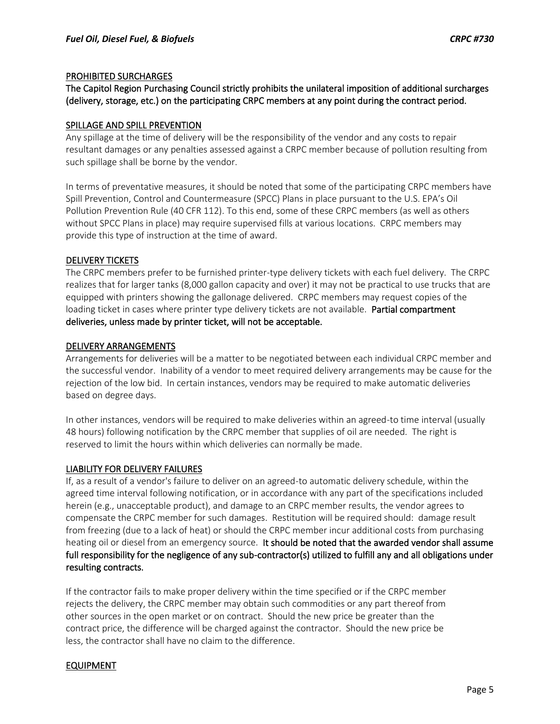#### PROHIBITED SURCHARGES

The Capitol Region Purchasing Council strictly prohibits the unilateral imposition of additional surcharges (delivery, storage, etc.) on the participating CRPC members at any point during the contract period.

#### SPILLAGE AND SPILL PREVENTION

Any spillage at the time of delivery will be the responsibility of the vendor and any costs to repair resultant damages or any penalties assessed against a CRPC member because of pollution resulting from such spillage shall be borne by the vendor.

In terms of preventative measures, it should be noted that some of the participating CRPC members have Spill Prevention, Control and Countermeasure (SPCC) Plans in place pursuant to the U.S. EPA's Oil Pollution Prevention Rule (40 CFR 112). To this end, some of these CRPC members (as well as others without SPCC Plans in place) may require supervised fills at various locations. CRPC members may provide this type of instruction at the time of award.

#### DELIVERY TICKETS

The CRPC members prefer to be furnished printer-type delivery tickets with each fuel delivery. The CRPC realizes that for larger tanks (8,000 gallon capacity and over) it may not be practical to use trucks that are equipped with printers showing the gallonage delivered. CRPC members may request copies of the loading ticket in cases where printer type delivery tickets are not available. Partial compartment deliveries, unless made by printer ticket, will not be acceptable.

#### DELIVERY ARRANGEMENTS

Arrangements for deliveries will be a matter to be negotiated between each individual CRPC member and the successful vendor. Inability of a vendor to meet required delivery arrangements may be cause for the rejection of the low bid. In certain instances, vendors may be required to make automatic deliveries based on degree days.

In other instances, vendors will be required to make deliveries within an agreed-to time interval (usually 48 hours) following notification by the CRPC member that supplies of oil are needed. The right is reserved to limit the hours within which deliveries can normally be made.

#### LIABILITY FOR DELIVERY FAILURES

If, as a result of a vendor's failure to deliver on an agreed-to automatic delivery schedule, within the agreed time interval following notification, or in accordance with any part of the specifications included herein (e.g., unacceptable product), and damage to an CRPC member results, the vendor agrees to compensate the CRPC member for such damages. Restitution will be required should: damage result from freezing (due to a lack of heat) or should the CRPC member incur additional costs from purchasing heating oil or diesel from an emergency source. It should be noted that the awarded vendor shall assume full responsibility for the negligence of any sub-contractor(s) utilized to fulfill any and all obligations under resulting contracts.

If the contractor fails to make proper delivery within the time specified or if the CRPC member rejects the delivery, the CRPC member may obtain such commodities or any part thereof from other sources in the open market or on contract. Should the new price be greater than the contract price, the difference will be charged against the contractor. Should the new price be less, the contractor shall have no claim to the difference.

#### EQUIPMENT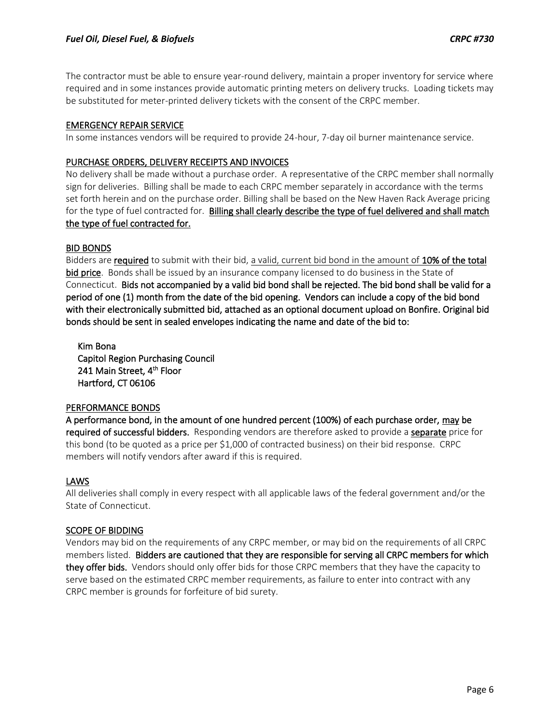The contractor must be able to ensure year-round delivery, maintain a proper inventory for service where required and in some instances provide automatic printing meters on delivery trucks. Loading tickets may be substituted for meter-printed delivery tickets with the consent of the CRPC member.

#### EMERGENCY REPAIR SERVICE

In some instances vendors will be required to provide 24-hour, 7-day oil burner maintenance service.

#### PURCHASE ORDERS, DELIVERY RECEIPTS AND INVOICES

No delivery shall be made without a purchase order. A representative of the CRPC member shall normally sign for deliveries. Billing shall be made to each CRPC member separately in accordance with the terms set forth herein and on the purchase order. Billing shall be based on the New Haven Rack Average pricing for the type of fuel contracted for. Billing shall clearly describe the type of fuel delivered and shall match the type of fuel contracted for.

## BID BONDS

Bidders are required to submit with their bid, a valid, current bid bond in the amount of 10% of the total bid price. Bonds shall be issued by an insurance company licensed to do business in the State of Connecticut. Bids not accompanied by a valid bid bond shall be rejected. The bid bond shall be valid for a period of one (1) month from the date of the bid opening. Vendors can include a copy of the bid bond with their electronically submitted bid, attached as an optional document upload on Bonfire. Original bid bonds should be sent in sealed envelopes indicating the name and date of the bid to:

 Kim Bona Capitol Region Purchasing Council 241 Main Street, 4<sup>th</sup> Floor Hartford, CT 06106

#### PERFORMANCE BONDS

A performance bond, in the amount of one hundred percent (100%) of each purchase order, may be required of successful bidders. Responding vendors are therefore asked to provide a separate price for this bond (to be quoted as a price per \$1,000 of contracted business) on their bid response. CRPC members will notify vendors after award if this is required.

#### LAWS

All deliveries shall comply in every respect with all applicable laws of the federal government and/or the State of Connecticut.

#### SCOPE OF BIDDING

Vendors may bid on the requirements of any CRPC member, or may bid on the requirements of all CRPC members listed. Bidders are cautioned that they are responsible for serving all CRPC members for which they offer bids. Vendors should only offer bids for those CRPC members that they have the capacity to serve based on the estimated CRPC member requirements, as failure to enter into contract with any CRPC member is grounds for forfeiture of bid surety.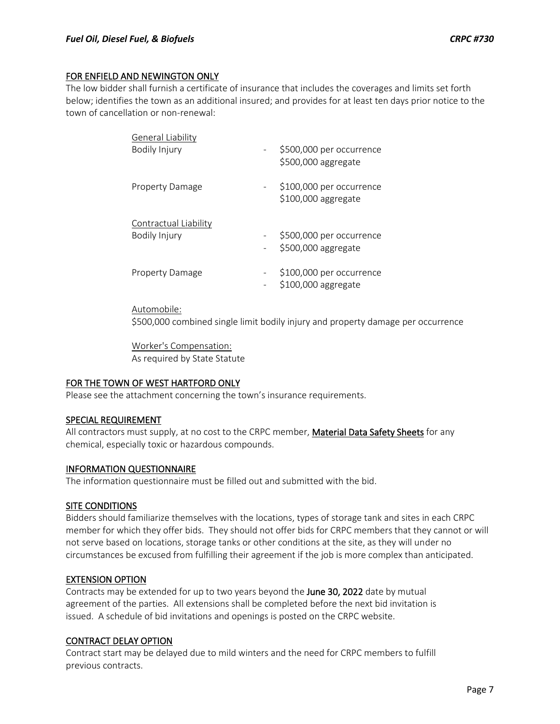#### FOR ENFIELD AND NEWINGTON ONLY

The low bidder shall furnish a certificate of insurance that includes the coverages and limits set forth below; identifies the town as an additional insured; and provides for at least ten days prior notice to the town of cancellation or non-renewal:

| <b>General Liability</b>     |                          |                          |
|------------------------------|--------------------------|--------------------------|
| Bodily Injury                | -                        | \$500,000 per occurrence |
|                              |                          | \$500,000 aggregate      |
| <b>Property Damage</b>       | -                        | \$100,000 per occurrence |
|                              |                          | \$100,000 aggregate      |
| <b>Contractual Liability</b> |                          |                          |
| Bodily Injury                | $\overline{\phantom{a}}$ | \$500,000 per occurrence |
|                              |                          | \$500,000 aggregate      |
| <b>Property Damage</b>       | -                        | \$100,000 per occurrence |
|                              |                          | \$100,000 aggregate      |

#### Automobile:

\$500,000 combined single limit bodily injury and property damage per occurrence

Worker's Compensation: As required by State Statute

#### FOR THE TOWN OF WEST HARTFORD ONLY

Please see the attachment concerning the town's insurance requirements.

#### SPECIAL REQUIREMENT

All contractors must supply, at no cost to the CRPC member, Material Data Safety Sheets for any chemical, especially toxic or hazardous compounds.

#### INFORMATION QUESTIONNAIRE

The information questionnaire must be filled out and submitted with the bid.

#### SITE CONDITIONS

Bidders should familiarize themselves with the locations, types of storage tank and sites in each CRPC member for which they offer bids. They should not offer bids for CRPC members that they cannot or will not serve based on locations, storage tanks or other conditions at the site, as they will under no circumstances be excused from fulfilling their agreement if the job is more complex than anticipated.

#### EXTENSION OPTION

Contracts may be extended for up to two years beyond the June 30, 2022 date by mutual agreement of the parties. All extensions shall be completed before the next bid invitation is issued. A schedule of bid invitations and openings is posted on the CRPC website.

#### CONTRACT DELAY OPTION

Contract start may be delayed due to mild winters and the need for CRPC members to fulfill previous contracts.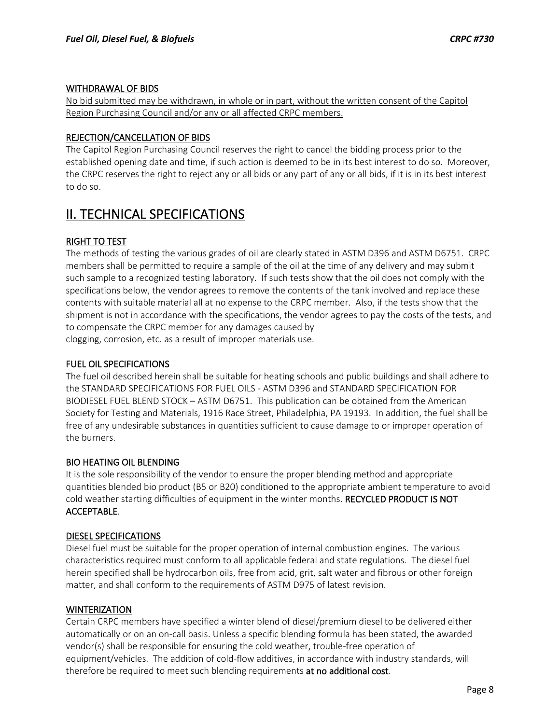## WITHDRAWAL OF BIDS

No bid submitted may be withdrawn, in whole or in part, without the written consent of the Capitol Region Purchasing Council and/or any or all affected CRPC members.

## REJECTION/CANCELLATION OF BIDS

The Capitol Region Purchasing Council reserves the right to cancel the bidding process prior to the established opening date and time, if such action is deemed to be in its best interest to do so. Moreover, the CRPC reserves the right to reject any or all bids or any part of any or all bids, if it is in its best interest to do so.

## II. TECHNICAL SPECIFICATIONS

## RIGHT TO TEST

The methods of testing the various grades of oil are clearly stated in ASTM D396 and ASTM D6751. CRPC members shall be permitted to require a sample of the oil at the time of any delivery and may submit such sample to a recognized testing laboratory. If such tests show that the oil does not comply with the specifications below, the vendor agrees to remove the contents of the tank involved and replace these contents with suitable material all at no expense to the CRPC member. Also, if the tests show that the shipment is not in accordance with the specifications, the vendor agrees to pay the costs of the tests, and to compensate the CRPC member for any damages caused by clogging, corrosion, etc. as a result of improper materials use.

## FUEL OIL SPECIFICATIONS

The fuel oil described herein shall be suitable for heating schools and public buildings and shall adhere to the STANDARD SPECIFICATIONS FOR FUEL OILS - ASTM D396 and STANDARD SPECIFICATION FOR BIODIESEL FUEL BLEND STOCK – ASTM D6751. This publication can be obtained from the American Society for Testing and Materials, 1916 Race Street, Philadelphia, PA 19193. In addition, the fuel shall be free of any undesirable substances in quantities sufficient to cause damage to or improper operation of the burners.

## BIO HEATING OIL BLENDING

It is the sole responsibility of the vendor to ensure the proper blending method and appropriate quantities blended bio product (B5 or B20) conditioned to the appropriate ambient temperature to avoid cold weather starting difficulties of equipment in the winter months. RECYCLED PRODUCT IS NOT ACCEPTABLE.

## DIESEL SPECIFICATIONS

Diesel fuel must be suitable for the proper operation of internal combustion engines. The various characteristics required must conform to all applicable federal and state regulations. The diesel fuel herein specified shall be hydrocarbon oils, free from acid, grit, salt water and fibrous or other foreign matter, and shall conform to the requirements of ASTM D975 of latest revision.

#### **WINTERIZATION**

Certain CRPC members have specified a winter blend of diesel/premium diesel to be delivered either automatically or on an on-call basis. Unless a specific blending formula has been stated, the awarded vendor(s) shall be responsible for ensuring the cold weather, trouble-free operation of equipment/vehicles. The addition of cold-flow additives, in accordance with industry standards, will therefore be required to meet such blending requirements at no additional cost.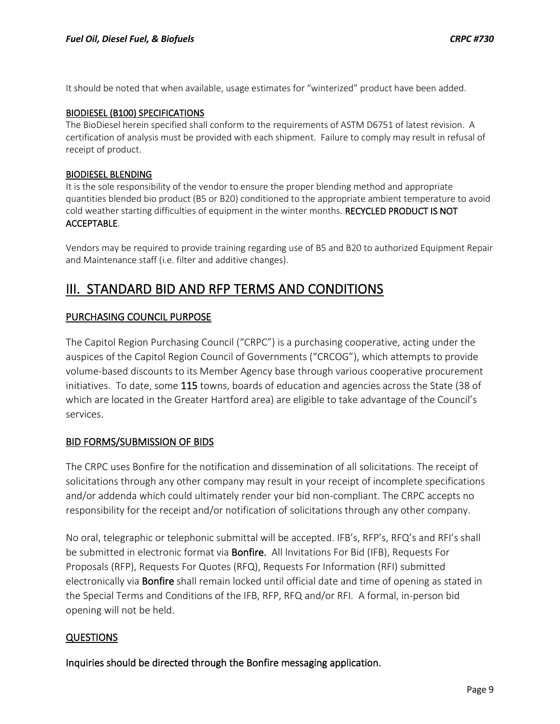It should be noted that when available, usage estimates for "winterized" product have been added.

#### BIODIESEL (B100) SPECIFICATIONS

The BioDiesel herein specified shall conform to the requirements of ASTM D6751 of latest revision. A certification of analysis must be provided with each shipment. Failure to comply may result in refusal of receipt of product.

#### BIODIESEL BLENDING

It is the sole responsibility of the vendor to ensure the proper blending method and appropriate quantities blended bio product (B5 or B20) conditioned to the appropriate ambient temperature to avoid cold weather starting difficulties of equipment in the winter months. RECYCLED PRODUCT IS NOT ACCEPTABLE.

Vendors may be required to provide training regarding use of B5 and B20 to authorized Equipment Repair and Maintenance staff (i.e. filter and additive changes).

## III. STANDARD BID AND RFP TERMS AND CONDITIONS

#### PURCHASING COUNCIL PURPOSE

The Capitol Region Purchasing Council ("CRPC") is a purchasing cooperative, acting under the auspices of the Capitol Region Council of Governments ("CRCOG"), which attempts to provide volume-based discounts to its Member Agency base through various cooperative procurement initiatives. To date, some 115 towns, boards of education and agencies across the State (38 of which are located in the Greater Hartford area) are eligible to take advantage of the Council's services.

#### BID FORMS/SUBMISSION OF BIDS

The CRPC uses Bonfire for the notification and dissemination of all solicitations. The receipt of solicitations through any other company may result in your receipt of incomplete specifications and/or addenda which could ultimately render your bid non-compliant. The CRPC accepts no responsibility for the receipt and/or notification of solicitations through any other company.

No oral, telegraphic or telephonic submittal will be accepted. IFB's, RFP's, RFQ's and RFI's shall be submitted in electronic format via **Bonfire.** All Invitations For Bid (IFB), Requests For Proposals (RFP), Requests For Quotes (RFQ), Requests For Information (RFI) submitted electronically via Bonfire shall remain locked until official date and time of opening as stated in the Special Terms and Conditions of the IFB, RFP, RFQ and/or RFI. A formal, in-person bid opening will not be held.

## QUESTIONS

Inquiries should be directed through the Bonfire messaging application.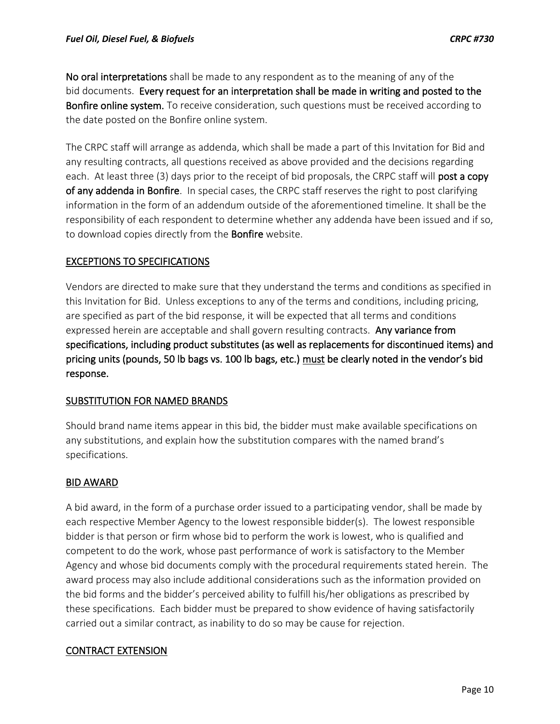No oral interpretations shall be made to any respondent as to the meaning of any of the bid documents. Every request for an interpretation shall be made in writing and posted to the Bonfire online system. To receive consideration, such questions must be received according to the date posted on the Bonfire online system.

The CRPC staff will arrange as addenda, which shall be made a part of this Invitation for Bid and any resulting contracts, all questions received as above provided and the decisions regarding each. At least three (3) days prior to the receipt of bid proposals, the CRPC staff will post a copy of any addenda in Bonfire. In special cases, the CRPC staff reserves the right to post clarifying information in the form of an addendum outside of the aforementioned timeline. It shall be the responsibility of each respondent to determine whether any addenda have been issued and if so, to download copies directly from the **Bonfire** website.

## EXCEPTIONS TO SPECIFICATIONS

Vendors are directed to make sure that they understand the terms and conditions as specified in this Invitation for Bid. Unless exceptions to any of the terms and conditions, including pricing, are specified as part of the bid response, it will be expected that all terms and conditions expressed herein are acceptable and shall govern resulting contracts. Any variance from specifications, including product substitutes (as well as replacements for discontinued items) and pricing units (pounds, 50 lb bags vs. 100 lb bags, etc.) must be clearly noted in the vendor's bid response.

#### SUBSTITUTION FOR NAMED BRANDS

Should brand name items appear in this bid, the bidder must make available specifications on any substitutions, and explain how the substitution compares with the named brand's specifications.

## BID AWARD

A bid award, in the form of a purchase order issued to a participating vendor, shall be made by each respective Member Agency to the lowest responsible bidder(s). The lowest responsible bidder is that person or firm whose bid to perform the work is lowest, who is qualified and competent to do the work, whose past performance of work is satisfactory to the Member Agency and whose bid documents comply with the procedural requirements stated herein. The award process may also include additional considerations such as the information provided on the bid forms and the bidder's perceived ability to fulfill his/her obligations as prescribed by these specifications. Each bidder must be prepared to show evidence of having satisfactorily carried out a similar contract, as inability to do so may be cause for rejection.

#### CONTRACT EXTENSION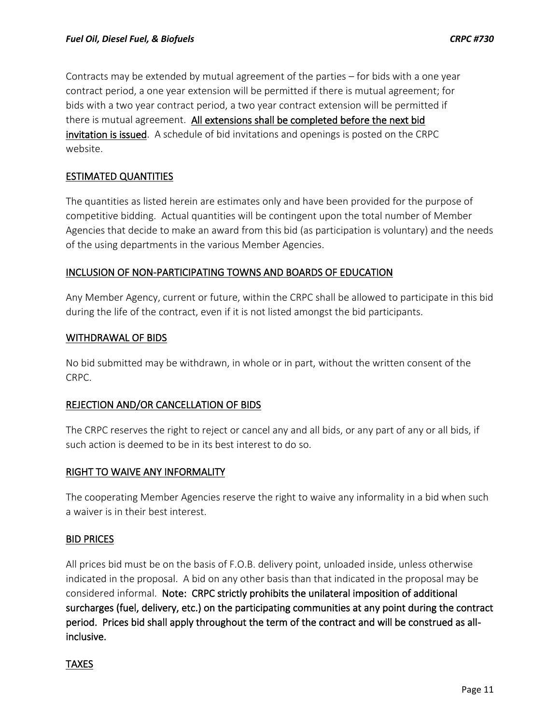Contracts may be extended by mutual agreement of the parties – for bids with a one year contract period, a one year extension will be permitted if there is mutual agreement; for bids with a two year contract period, a two year contract extension will be permitted if there is mutual agreement. All extensions shall be completed before the next bid invitation is issued. A schedule of bid invitations and openings is posted on the CRPC website.

## ESTIMATED QUANTITIES

The quantities as listed herein are estimates only and have been provided for the purpose of competitive bidding. Actual quantities will be contingent upon the total number of Member Agencies that decide to make an award from this bid (as participation is voluntary) and the needs of the using departments in the various Member Agencies.

## INCLUSION OF NON-PARTICIPATING TOWNS AND BOARDS OF EDUCATION

Any Member Agency, current or future, within the CRPC shall be allowed to participate in this bid during the life of the contract, even if it is not listed amongst the bid participants.

## WITHDRAWAL OF BIDS

No bid submitted may be withdrawn, in whole or in part, without the written consent of the CRPC.

## REJECTION AND/OR CANCELLATION OF BIDS

The CRPC reserves the right to reject or cancel any and all bids, or any part of any or all bids, if such action is deemed to be in its best interest to do so.

## RIGHT TO WAIVE ANY INFORMALITY

The cooperating Member Agencies reserve the right to waive any informality in a bid when such a waiver is in their best interest.

#### BID PRICES

All prices bid must be on the basis of F.O.B. delivery point, unloaded inside, unless otherwise indicated in the proposal. A bid on any other basis than that indicated in the proposal may be considered informal. Note: CRPC strictly prohibits the unilateral imposition of additional surcharges (fuel, delivery, etc.) on the participating communities at any point during the contract period. Prices bid shall apply throughout the term of the contract and will be construed as allinclusive.

#### **TAXES**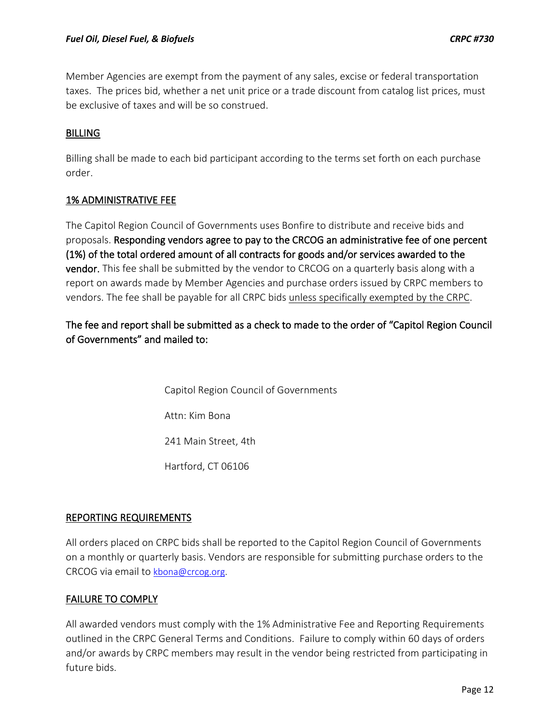Member Agencies are exempt from the payment of any sales, excise or federal transportation taxes. The prices bid, whether a net unit price or a trade discount from catalog list prices, must be exclusive of taxes and will be so construed.

## **BILLING**

Billing shall be made to each bid participant according to the terms set forth on each purchase order.

## 1% ADMINISTRATIVE FEE

The Capitol Region Council of Governments uses Bonfire to distribute and receive bids and proposals. Responding vendors agree to pay to the CRCOG an administrative fee of one percent (1%) of the total ordered amount of all contracts for goods and/or services awarded to the vendor. This fee shall be submitted by the vendor to CRCOG on a quarterly basis along with a report on awards made by Member Agencies and purchase orders issued by CRPC members to vendors. The fee shall be payable for all CRPC bids unless specifically exempted by the CRPC.

The fee and report shall be submitted as a check to made to the order of "Capitol Region Council of Governments" and mailed to:

> Capitol Region Council of Governments Attn: Kim Bona 241 Main Street, 4th Hartford, CT 06106

## REPORTING REQUIREMENTS

All orders placed on CRPC bids shall be reported to the Capitol Region Council of Governments on a monthly or quarterly basis. Vendors are responsible for submitting purchase orders to the CRCOG via email to [kbona@crcog.org.](mailto:kbona@crcog.org)

## FAILURE TO COMPLY

All awarded vendors must comply with the 1% Administrative Fee and Reporting Requirements outlined in the CRPC General Terms and Conditions. Failure to comply within 60 days of orders and/or awards by CRPC members may result in the vendor being restricted from participating in future bids.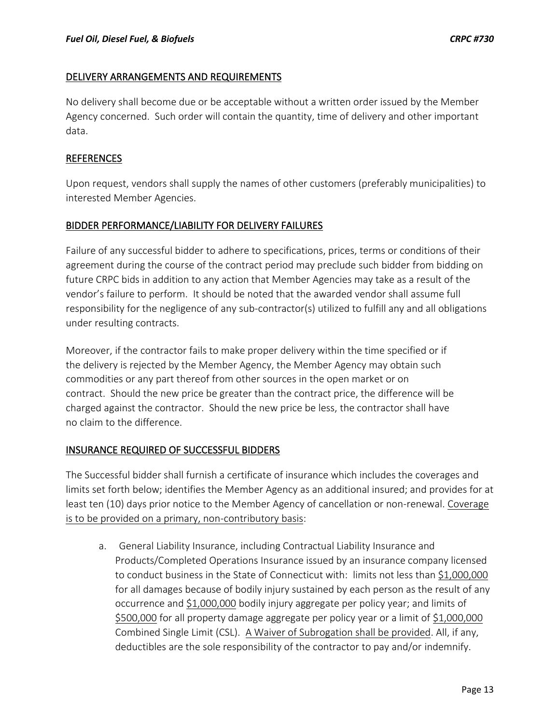## DELIVERY ARRANGEMENTS AND REQUIREMENTS

No delivery shall become due or be acceptable without a written order issued by the Member Agency concerned. Such order will contain the quantity, time of delivery and other important data.

## REFERENCES

Upon request, vendors shall supply the names of other customers (preferably municipalities) to interested Member Agencies.

## BIDDER PERFORMANCE/LIABILITY FOR DELIVERY FAILURES

Failure of any successful bidder to adhere to specifications, prices, terms or conditions of their agreement during the course of the contract period may preclude such bidder from bidding on future CRPC bids in addition to any action that Member Agencies may take as a result of the vendor's failure to perform. It should be noted that the awarded vendor shall assume full responsibility for the negligence of any sub-contractor(s) utilized to fulfill any and all obligations under resulting contracts.

Moreover, if the contractor fails to make proper delivery within the time specified or if the delivery is rejected by the Member Agency, the Member Agency may obtain such commodities or any part thereof from other sources in the open market or on contract. Should the new price be greater than the contract price, the difference will be charged against the contractor. Should the new price be less, the contractor shall have no claim to the difference.

## INSURANCE REQUIRED OF SUCCESSFUL BIDDERS

The Successful bidder shall furnish a certificate of insurance which includes the coverages and limits set forth below; identifies the Member Agency as an additional insured; and provides for at least ten (10) days prior notice to the Member Agency of cancellation or non-renewal. Coverage is to be provided on a primary, non-contributory basis:

a. General Liability Insurance, including Contractual Liability Insurance and Products/Completed Operations Insurance issued by an insurance company licensed to conduct business in the State of Connecticut with: limits not less than \$1,000,000 for all damages because of bodily injury sustained by each person as the result of any occurrence and \$1,000,000 bodily injury aggregate per policy year; and limits of \$500,000 for all property damage aggregate per policy year or a limit of \$1,000,000 Combined Single Limit (CSL). A Waiver of Subrogation shall be provided. All, if any, deductibles are the sole responsibility of the contractor to pay and/or indemnify.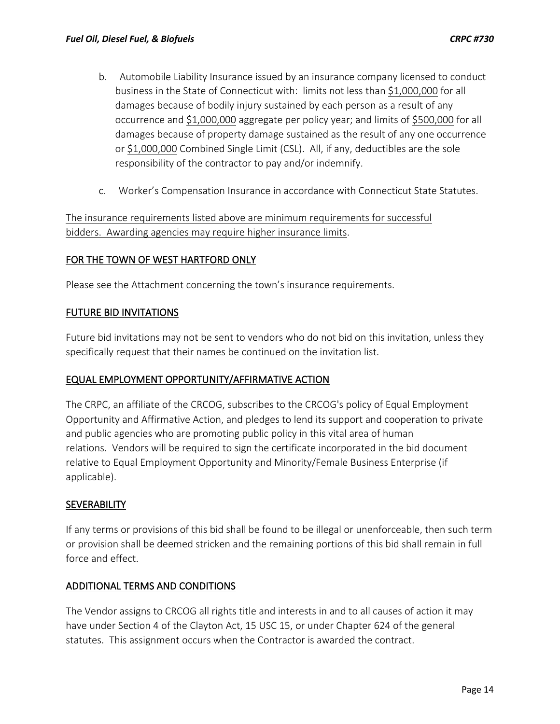- b. Automobile Liability Insurance issued by an insurance company licensed to conduct business in the State of Connecticut with: limits not less than \$1,000,000 for all damages because of bodily injury sustained by each person as a result of any occurrence and \$1,000,000 aggregate per policy year; and limits of \$500,000 for all damages because of property damage sustained as the result of any one occurrence or \$1,000,000 Combined Single Limit (CSL). All, if any, deductibles are the sole responsibility of the contractor to pay and/or indemnify.
- c. Worker's Compensation Insurance in accordance with Connecticut State Statutes.

The insurance requirements listed above are minimum requirements for successful bidders. Awarding agencies may require higher insurance limits.

## FOR THE TOWN OF WEST HARTFORD ONLY

Please see the Attachment concerning the town's insurance requirements.

## FUTURE BID INVITATIONS

Future bid invitations may not be sent to vendors who do not bid on this invitation, unless they specifically request that their names be continued on the invitation list.

## EQUAL EMPLOYMENT OPPORTUNITY/AFFIRMATIVE ACTION

The CRPC, an affiliate of the CRCOG, subscribes to the CRCOG's policy of Equal Employment Opportunity and Affirmative Action, and pledges to lend its support and cooperation to private and public agencies who are promoting public policy in this vital area of human relations. Vendors will be required to sign the certificate incorporated in the bid document relative to Equal Employment Opportunity and Minority/Female Business Enterprise (if applicable).

#### **SEVERABILITY**

If any terms or provisions of this bid shall be found to be illegal or unenforceable, then such term or provision shall be deemed stricken and the remaining portions of this bid shall remain in full force and effect.

## ADDITIONAL TERMS AND CONDITIONS

The Vendor assigns to CRCOG all rights title and interests in and to all causes of action it may have under Section 4 of the Clayton Act, 15 USC 15, or under Chapter 624 of the general statutes. This assignment occurs when the Contractor is awarded the contract.